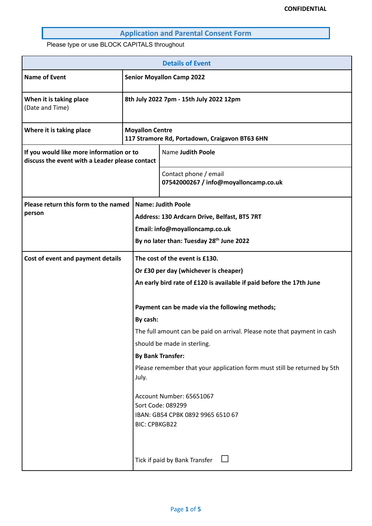## **Application and Parental Consent Form**

Please type or use BLOCK CAPITALS throughout

| <b>Details of Event</b>                                                                    |                                                                          |                                                                                                                                                                                                                                                                                                              |  |  |
|--------------------------------------------------------------------------------------------|--------------------------------------------------------------------------|--------------------------------------------------------------------------------------------------------------------------------------------------------------------------------------------------------------------------------------------------------------------------------------------------------------|--|--|
| <b>Name of Event</b>                                                                       | <b>Senior Moyallon Camp 2022</b>                                         |                                                                                                                                                                                                                                                                                                              |  |  |
| When it is taking place<br>(Date and Time)                                                 |                                                                          | 8th July 2022 7pm - 15th July 2022 12pm                                                                                                                                                                                                                                                                      |  |  |
| Where it is taking place                                                                   | <b>Moyallon Centre</b><br>117 Stramore Rd, Portadown, Craigavon BT63 6HN |                                                                                                                                                                                                                                                                                                              |  |  |
| If you would like more information or to<br>discuss the event with a Leader please contact |                                                                          | Name Judith Poole                                                                                                                                                                                                                                                                                            |  |  |
|                                                                                            |                                                                          | Contact phone / email<br>07542000267 / info@moyalloncamp.co.uk                                                                                                                                                                                                                                               |  |  |
| Please return this form to the named<br>person                                             |                                                                          | <b>Name: Judith Poole</b><br>Address: 130 Ardcarn Drive, Belfast, BT5 7RT<br>Email: info@moyalloncamp.co.uk<br>By no later than: Tuesday 28 <sup>th</sup> June 2022                                                                                                                                          |  |  |
| Cost of event and payment details                                                          | By cash:                                                                 | The cost of the event is £130.<br>Or £30 per day (whichever is cheaper)<br>An early bird rate of £120 is available if paid before the 17th June<br>Payment can be made via the following methods;<br>The full amount can be paid on arrival. Please note that payment in cash<br>should be made in sterling. |  |  |
|                                                                                            | July.<br><b>BIC: CPBKGB22</b>                                            | <b>By Bank Transfer:</b><br>Please remember that your application form must still be returned by 5th<br>Account Number: 65651067<br>Sort Code: 089299<br>IBAN: GB54 CPBK 0892 9965 6510 67<br>$\perp$<br>Tick if paid by Bank Transfer                                                                       |  |  |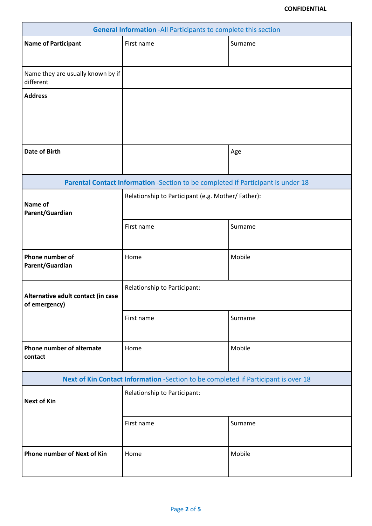| <b>General Information -All Participants to complete this section</b> |                                                                                    |         |  |
|-----------------------------------------------------------------------|------------------------------------------------------------------------------------|---------|--|
| <b>Name of Participant</b>                                            | First name<br>Surname                                                              |         |  |
|                                                                       |                                                                                    |         |  |
| Name they are usually known by if<br>different                        |                                                                                    |         |  |
| <b>Address</b>                                                        |                                                                                    |         |  |
|                                                                       |                                                                                    |         |  |
|                                                                       |                                                                                    |         |  |
|                                                                       |                                                                                    |         |  |
| <b>Date of Birth</b>                                                  |                                                                                    | Age     |  |
|                                                                       |                                                                                    |         |  |
|                                                                       | Parental Contact Information -Section to be completed if Participant is under 18   |         |  |
| Name of<br>Parent/Guardian                                            | Relationship to Participant (e.g. Mother/ Father):                                 |         |  |
|                                                                       | First name                                                                         | Surname |  |
| Phone number of                                                       | Home                                                                               | Mobile  |  |
| Parent/Guardian                                                       |                                                                                    |         |  |
|                                                                       |                                                                                    |         |  |
| Alternative adult contact (in case<br>of emergency)                   | Relationship to Participant:                                                       |         |  |
|                                                                       | First name                                                                         | Surname |  |
|                                                                       |                                                                                    |         |  |
| Phone number of alternate<br>contact                                  | Home                                                                               | Mobile  |  |
|                                                                       | Next of Kin Contact Information -Section to be completed if Participant is over 18 |         |  |
|                                                                       | Relationship to Participant:                                                       |         |  |
| <b>Next of Kin</b>                                                    |                                                                                    |         |  |
|                                                                       | First name                                                                         | Surname |  |
|                                                                       |                                                                                    |         |  |
| <b>Phone number of Next of Kin</b>                                    | Home                                                                               | Mobile  |  |
|                                                                       |                                                                                    |         |  |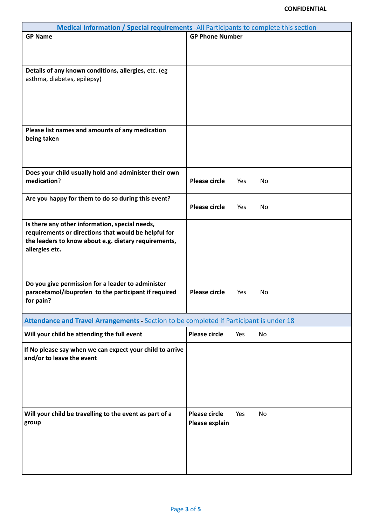| Medical information / Special requirements - All Participants to complete this section  |                        |     |    |  |
|-----------------------------------------------------------------------------------------|------------------------|-----|----|--|
| <b>GP Name</b>                                                                          | <b>GP Phone Number</b> |     |    |  |
|                                                                                         |                        |     |    |  |
|                                                                                         |                        |     |    |  |
|                                                                                         |                        |     |    |  |
| Details of any known conditions, allergies, etc. (eg                                    |                        |     |    |  |
| asthma, diabetes, epilepsy)                                                             |                        |     |    |  |
|                                                                                         |                        |     |    |  |
|                                                                                         |                        |     |    |  |
|                                                                                         |                        |     |    |  |
|                                                                                         |                        |     |    |  |
| Please list names and amounts of any medication                                         |                        |     |    |  |
| being taken                                                                             |                        |     |    |  |
|                                                                                         |                        |     |    |  |
|                                                                                         |                        |     |    |  |
|                                                                                         |                        |     |    |  |
| Does your child usually hold and administer their own                                   |                        |     |    |  |
| medication?                                                                             | <b>Please circle</b>   | Yes | No |  |
|                                                                                         |                        |     |    |  |
| Are you happy for them to do so during this event?                                      | <b>Please circle</b>   | Yes | No |  |
|                                                                                         |                        |     |    |  |
| Is there any other information, special needs,                                          |                        |     |    |  |
| requirements or directions that would be helpful for                                    |                        |     |    |  |
| the leaders to know about e.g. dietary requirements,                                    |                        |     |    |  |
| allergies etc.                                                                          |                        |     |    |  |
|                                                                                         |                        |     |    |  |
|                                                                                         |                        |     |    |  |
|                                                                                         |                        |     |    |  |
| Do you give permission for a leader to administer                                       |                        |     |    |  |
| paracetamol/ibuprofen to the participant if required                                    | <b>Please circle</b>   | Yes | No |  |
| for pain?                                                                               |                        |     |    |  |
|                                                                                         |                        |     |    |  |
| Attendance and Travel Arrangements - Section to be completed if Participant is under 18 |                        |     |    |  |
| Will your child be attending the full event                                             | <b>Please circle</b>   | Yes | No |  |
|                                                                                         |                        |     |    |  |
| If No please say when we can expect your child to arrive<br>and/or to leave the event   |                        |     |    |  |
|                                                                                         |                        |     |    |  |
|                                                                                         |                        |     |    |  |
|                                                                                         |                        |     |    |  |
|                                                                                         |                        |     |    |  |
|                                                                                         |                        |     |    |  |
|                                                                                         | <b>Please circle</b>   | Yes | No |  |
| Will your child be travelling to the event as part of a                                 |                        |     |    |  |
| group                                                                                   | Please explain         |     |    |  |
|                                                                                         |                        |     |    |  |
|                                                                                         |                        |     |    |  |
|                                                                                         |                        |     |    |  |
|                                                                                         |                        |     |    |  |
|                                                                                         |                        |     |    |  |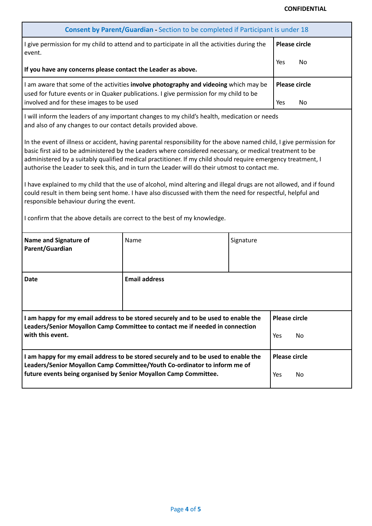## **CONFIDENTIAL**

| Consent by Parent/Guardian - Section to be completed if Participant is under 18                                                                                                                                                                                                                                                                                                                                                                   |                                                                           |           |                                               |  |
|---------------------------------------------------------------------------------------------------------------------------------------------------------------------------------------------------------------------------------------------------------------------------------------------------------------------------------------------------------------------------------------------------------------------------------------------------|---------------------------------------------------------------------------|-----------|-----------------------------------------------|--|
| I give permission for my child to attend and to participate in all the activities during the<br>event.                                                                                                                                                                                                                                                                                                                                            |                                                                           |           | <b>Please circle</b>                          |  |
| If you have any concerns please contact the Leader as above.                                                                                                                                                                                                                                                                                                                                                                                      |                                                                           |           | Yes<br>No                                     |  |
| I am aware that some of the activities involve photography and videoing which may be<br>used for future events or in Quaker publications. I give permission for my child to be<br>involved and for these images to be used                                                                                                                                                                                                                        |                                                                           |           | <b>Please circle</b><br>Yes<br>N <sub>0</sub> |  |
| I will inform the leaders of any important changes to my child's health, medication or needs<br>and also of any changes to our contact details provided above.                                                                                                                                                                                                                                                                                    |                                                                           |           |                                               |  |
| In the event of illness or accident, having parental responsibility for the above named child, I give permission for<br>basic first aid to be administered by the Leaders where considered necessary, or medical treatment to be<br>administered by a suitably qualified medical practitioner. If my child should require emergency treatment, I<br>authorise the Leader to seek this, and in turn the Leader will do their utmost to contact me. |                                                                           |           |                                               |  |
| I have explained to my child that the use of alcohol, mind altering and illegal drugs are not allowed, and if found<br>could result in them being sent home. I have also discussed with them the need for respectful, helpful and<br>responsible behaviour during the event.                                                                                                                                                                      |                                                                           |           |                                               |  |
|                                                                                                                                                                                                                                                                                                                                                                                                                                                   | I confirm that the above details are correct to the best of my knowledge. |           |                                               |  |
| <b>Name and Signature of</b><br>Parent/Guardian                                                                                                                                                                                                                                                                                                                                                                                                   | Name                                                                      | Signature |                                               |  |
| <b>Date</b>                                                                                                                                                                                                                                                                                                                                                                                                                                       | <b>Email address</b>                                                      |           |                                               |  |
| I am happy for my email address to be stored securely and to be used to enable the<br>Leaders/Senior Moyallon Camp Committee to contact me if needed in connection<br>with this event.                                                                                                                                                                                                                                                            |                                                                           |           | <b>Please circle</b><br>No<br>Yes             |  |
| I am happy for my email address to be stored securely and to be used to enable the<br>Leaders/Senior Moyallon Camp Committee/Youth Co-ordinator to inform me of<br>future events being organised by Senior Moyallon Camp Committee.                                                                                                                                                                                                               |                                                                           |           | <b>Please circle</b><br>Yes<br>No             |  |